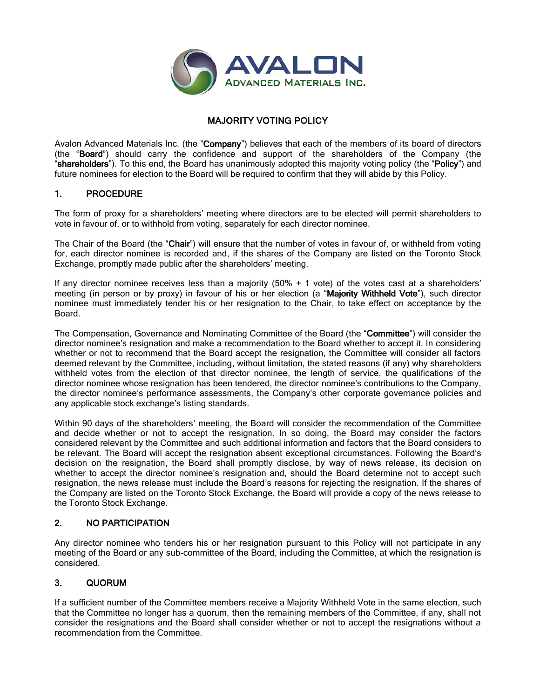

# MAJORITY VOTING POLICY

Avalon Advanced Materials Inc. (the "Company") believes that each of the members of its board of directors (the "Board") should carry the confidence and support of the shareholders of the Company (the "shareholders"). To this end, the Board has unanimously adopted this majority voting policy (the "Policy") and future nominees for election to the Board will be required to confirm that they will abide by this Policy.

#### 1. PROCEDURE

The form of proxy for a shareholders' meeting where directors are to be elected will permit shareholders to vote in favour of, or to withhold from voting, separately for each director nominee.

The Chair of the Board (the "Chair") will ensure that the number of votes in favour of, or withheld from voting for, each director nominee is recorded and, if the shares of the Company are listed on the Toronto Stock Exchange, promptly made public after the shareholders' meeting.

If any director nominee receives less than a majority (50% + 1 vote) of the votes cast at a shareholders' meeting (in person or by proxy) in favour of his or her election (a "Majority Withheld Vote"), such director nominee must immediately tender his or her resignation to the Chair, to take effect on acceptance by the Board.

The Compensation, Governance and Nominating Committee of the Board (the "Committee") will consider the director nominee's resignation and make a recommendation to the Board whether to accept it. In considering whether or not to recommend that the Board accept the resignation, the Committee will consider all factors deemed relevant by the Committee, including, without limitation, the stated reasons (if any) why shareholders withheld votes from the election of that director nominee, the length of service, the qualifications of the director nominee whose resignation has been tendered, the director nominee's contributions to the Company, the director nominee's performance assessments, the Company's other corporate governance policies and any applicable stock exchange's listing standards.

Within 90 days of the shareholders' meeting, the Board will consider the recommendation of the Committee and decide whether or not to accept the resignation. In so doing, the Board may consider the factors considered relevant by the Committee and such additional information and factors that the Board considers to be relevant. The Board will accept the resignation absent exceptional circumstances. Following the Board's decision on the resignation, the Board shall promptly disclose, by way of news release, its decision on whether to accept the director nominee's resignation and, should the Board determine not to accept such resignation, the news release must include the Board's reasons for rejecting the resignation. If the shares of the Company are listed on the Toronto Stock Exchange, the Board will provide a copy of the news release to the Toronto Stock Exchange.

### 2. NO PARTICIPATION

Any director nominee who tenders his or her resignation pursuant to this Policy will not participate in any meeting of the Board or any sub-committee of the Board, including the Committee, at which the resignation is considered.

### 3. QUORUM

If a sufficient number of the Committee members receive a Majority Withheld Vote in the same election, such that the Committee no longer has a quorum, then the remaining members of the Committee, if any, shall not consider the resignations and the Board shall consider whether or not to accept the resignations without a recommendation from the Committee.